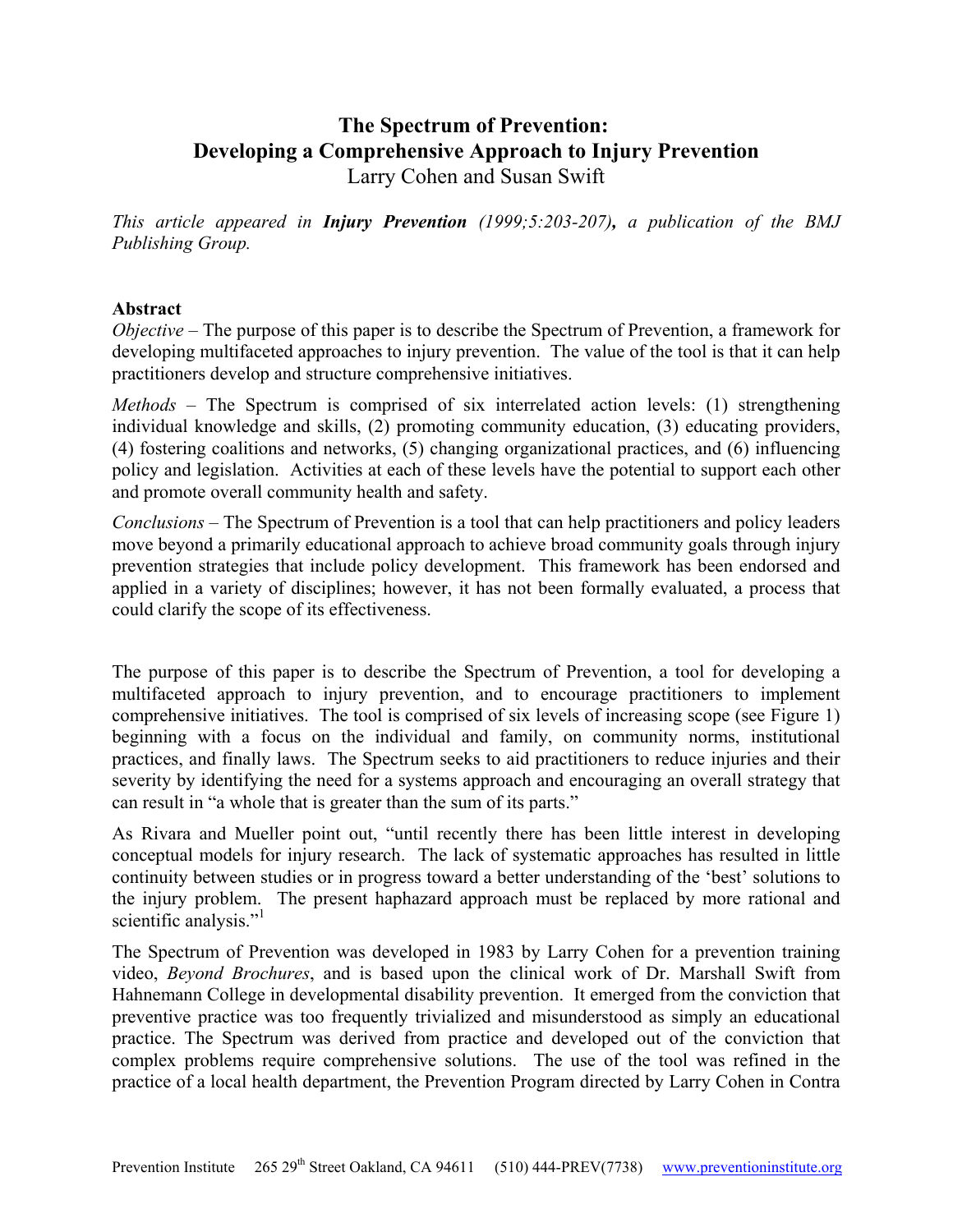# **The Spectrum of Prevention: Developing a Comprehensive Approach to Injury Prevention**

Larry Cohen and Susan Swift

*This article appeared in Injury Prevention (1999;5:203-207), a publication of the BMJ Publishing Group.*

# **Abstract**

*Objective* – The purpose of this paper is to describe the Spectrum of Prevention, a framework for developing multifaceted approaches to injury prevention. The value of the tool is that it can help practitioners develop and structure comprehensive initiatives.

*Methods – The Spectrum is comprised of six interrelated action levels: (1) strengthening* individual knowledge and skills, (2) promoting community education, (3) educating providers, (4) fostering coalitions and networks, (5) changing organizational practices, and (6) influencing policy and legislation. Activities at each of these levels have the potential to support each other and promote overall community health and safety.

*Conclusions –* The Spectrum of Prevention is a tool that can help practitioners and policy leaders move beyond a primarily educational approach to achieve broad community goals through injury prevention strategies that include policy development. This framework has been endorsed and applied in a variety of disciplines; however, it has not been formally evaluated, a process that could clarify the scope of its effectiveness.

The purpose of this paper is to describe the Spectrum of Prevention, a tool for developing a multifaceted approach to injury prevention, and to encourage practitioners to implement comprehensive initiatives. The tool is comprised of six levels of increasing scope (see Figure 1) beginning with a focus on the individual and family, on community norms, institutional practices, and finally laws. The Spectrum seeks to aid practitioners to reduce injuries and their severity by identifying the need for a systems approach and encouraging an overall strategy that can result in "a whole that is greater than the sum of its parts."

As Rivara and Mueller point out, "until recently there has been little interest in developing conceptual models for injury research. The lack of systematic approaches has resulted in little continuity between studies or in progress toward a better understanding of the 'best' solutions to the injury problem. The present haphazard approach must be replaced by more rational and scientific analysis."<sup>[1](#page-9-0)</sup>

The Spectrum of Prevention was developed in 1983 by Larry Cohen for a prevention training video, *Beyond Brochures*, and is based upon the clinical work of Dr. Marshall Swift from Hahnemann College in developmental disability prevention. It emerged from the conviction that preventive practice was too frequently trivialized and misunderstood as simply an educational practice. The Spectrum was derived from practice and developed out of the conviction that complex problems require comprehensive solutions. The use of the tool was refined in the practice of a local health department, the Prevention Program directed by Larry Cohen in Contra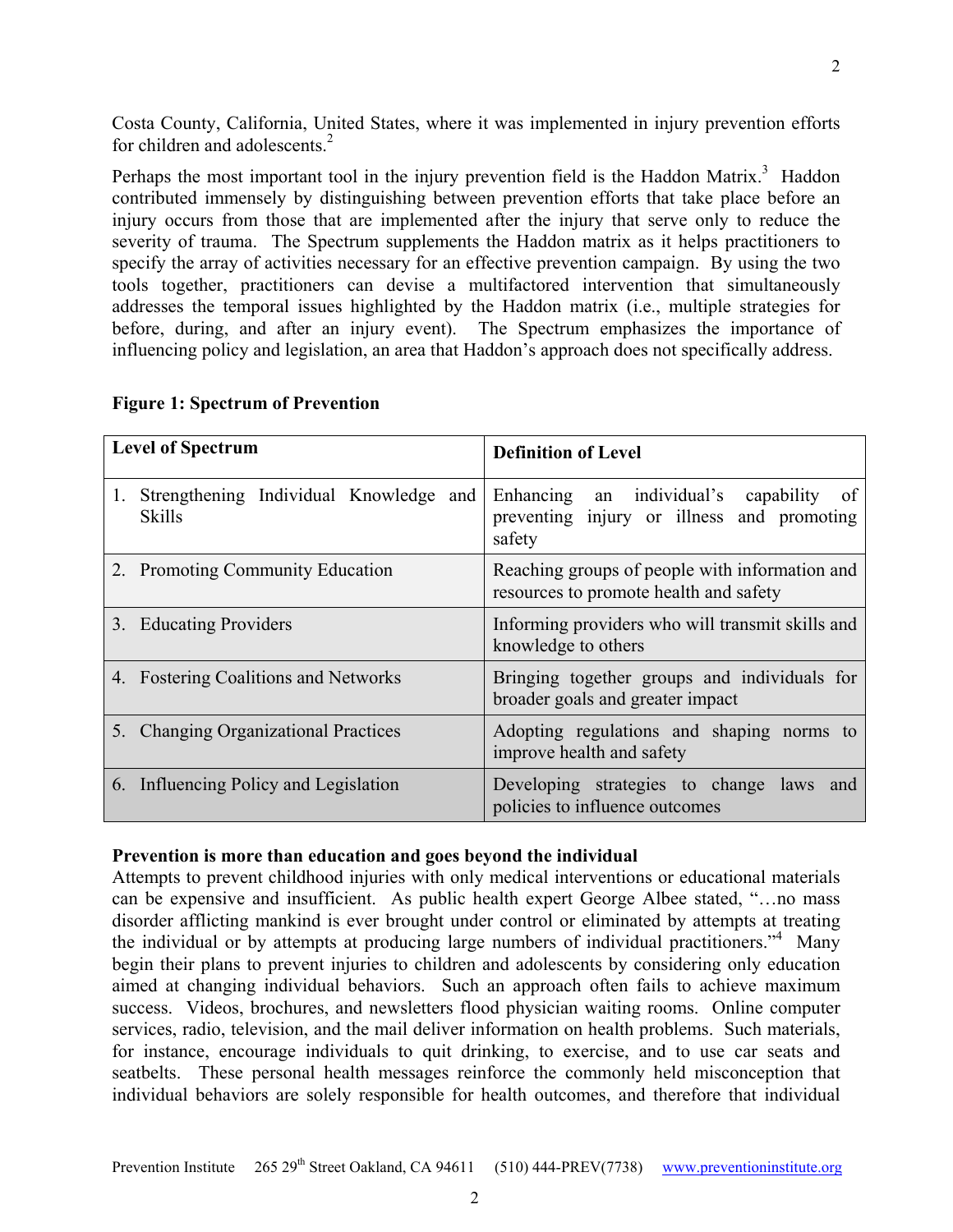Costa County, California, United States, where it was implemented in injury prevention efforts for children and adolescents.<sup>2</sup>

Perhaps the most important tool in the injury prevention field is the Haddon Matrix.<sup>[3](#page-9-2)</sup> Haddon contributed immensely by distinguishing between prevention efforts that take place before an injury occurs from those that are implemented after the injury that serve only to reduce the severity of trauma. The Spectrum supplements the Haddon matrix as it helps practitioners to specify the array of activities necessary for an effective prevention campaign. By using the two tools together, practitioners can devise a multifactored intervention that simultaneously addresses the temporal issues highlighted by the Haddon matrix (i.e., multiple strategies for before, during, and after an injury event). The Spectrum emphasizes the importance of influencing policy and legislation, an area that Haddon's approach does not specifically address.

| <b>Level of Spectrum</b>                                      | <b>Definition of Level</b>                                                                         |
|---------------------------------------------------------------|----------------------------------------------------------------------------------------------------|
| Strengthening Individual Knowledge and<br>1.<br><b>Skills</b> | Enhancing an individual's capability<br>of<br>preventing injury or illness and promoting<br>safety |
| 2. Promoting Community Education                              | Reaching groups of people with information and<br>resources to promote health and safety           |
| 3.<br><b>Educating Providers</b>                              | Informing providers who will transmit skills and<br>knowledge to others                            |
| 4. Fostering Coalitions and Networks                          | Bringing together groups and individuals for<br>broader goals and greater impact                   |
| 5. Changing Organizational Practices                          | Adopting regulations and shaping norms to<br>improve health and safety                             |
| 6. Influencing Policy and Legislation                         | Developing strategies to change laws and<br>policies to influence outcomes                         |

## **Figure 1: Spectrum of Prevention**

## **Prevention is more than education and goes beyond the individual**

Attempts to prevent childhood injuries with only medical interventions or educational materials can be expensive and insufficient. As public health expert George Albee stated, "…no mass disorder afflicting mankind is ever brought under control or eliminated by attempts at treating the individual or by attempts at producing large numbers of individual practitioners."<sup>4</sup> Many begin their plans to prevent injuries to children and adolescents by considering only education aimed at changing individual behaviors. Such an approach often fails to achieve maximum success. Videos, brochures, and newsletters flood physician waiting rooms. Online computer services, radio, television, and the mail deliver information on health problems. Such materials, for instance, encourage individuals to quit drinking, to exercise, and to use car seats and seatbelts. These personal health messages reinforce the commonly held misconception that individual behaviors are solely responsible for health outcomes, and therefore that individual

2

2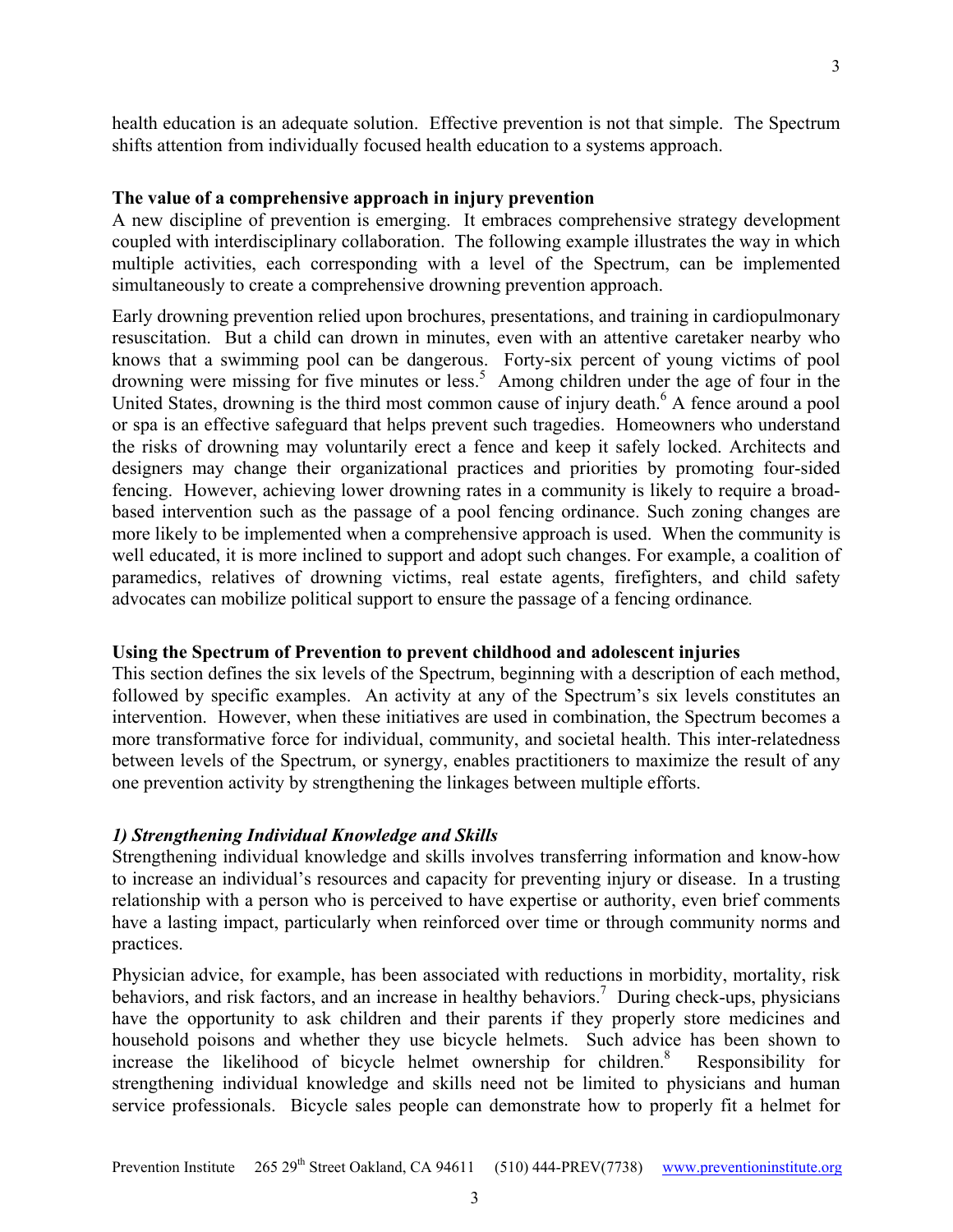health education is an adequate solution. Effective prevention is not that simple. The Spectrum shifts attention from individually focused health education to a systems approach.

## **The value of a comprehensive approach in injury prevention**

A new discipline of prevention is emerging. It embraces comprehensive strategy development coupled with interdisciplinary collaboration. The following example illustrates the way in which multiple activities, each corresponding with a level of the Spectrum, can be implemented simultaneously to create a comprehensive drowning prevention approach.

Early drowning prevention relied upon brochures, presentations, and training in cardiopulmonary resuscitation. But a child can drown in minutes, even with an attentive caretaker nearby who knows that a swimming pool can be dangerous. Forty-six percent of young victims of pool drowning were missing for five minutes or less.<sup>5</sup> Among children under the age of four in the United States, drowning is the third most common cause of injury death.<sup>6</sup> A fence around a pool or spa is an effective safeguard that helps prevent such tragedies. Homeowners who understand the risks of drowning may voluntarily erect a fence and keep it safely locked. Architects and designers may change their organizational practices and priorities by promoting four-sided fencing. However, achieving lower drowning rates in a community is likely to require a broadbased intervention such as the passage of a pool fencing ordinance. Such zoning changes are more likely to be implemented when a comprehensive approach is used. When the community is well educated, it is more inclined to support and adopt such changes. For example, a coalition of paramedics, relatives of drowning victims, real estate agents, firefighters, and child safety advocates can mobilize political support to ensure the passage of a fencing ordinance*.*

## **Using the Spectrum of Prevention to prevent childhood and adolescent injuries**

This section defines the six levels of the Spectrum, beginning with a description of each method, followed by specific examples. An activity at any of the Spectrum's six levels constitutes an intervention. However, when these initiatives are used in combination, the Spectrum becomes a more transformative force for individual, community, and societal health. This inter-relatedness between levels of the Spectrum, or synergy, enables practitioners to maximize the result of any one prevention activity by strengthening the linkages between multiple efforts.

## *1) Strengthening Individual Knowledge and Skills*

Strengthening individual knowledge and skills involves transferring information and know-how to increase an individual's resources and capacity for preventing injury or disease. In a trusting relationship with a person who is perceived to have expertise or authority, even brief comments have a lasting impact, particularly when reinforced over time or through community norms and practices.

Physician advice, for example, has been associated with reductions in morbidity, mortality, risk behaviors, and risk factors, and an increase in healthy behaviors.<sup>7</sup> During check-ups, physicians have the opportunity to ask children and their parents if they properly store medicines and household poisons and whether they use bicycle helmets. Such advice has been shown to increase the likelihood of bicycle helmet ownership for children. $8$  Responsibility for strengthening individual knowledge and skills need not be limited to physicians and human service professionals. Bicycle sales people can demonstrate how to properly fit a helmet for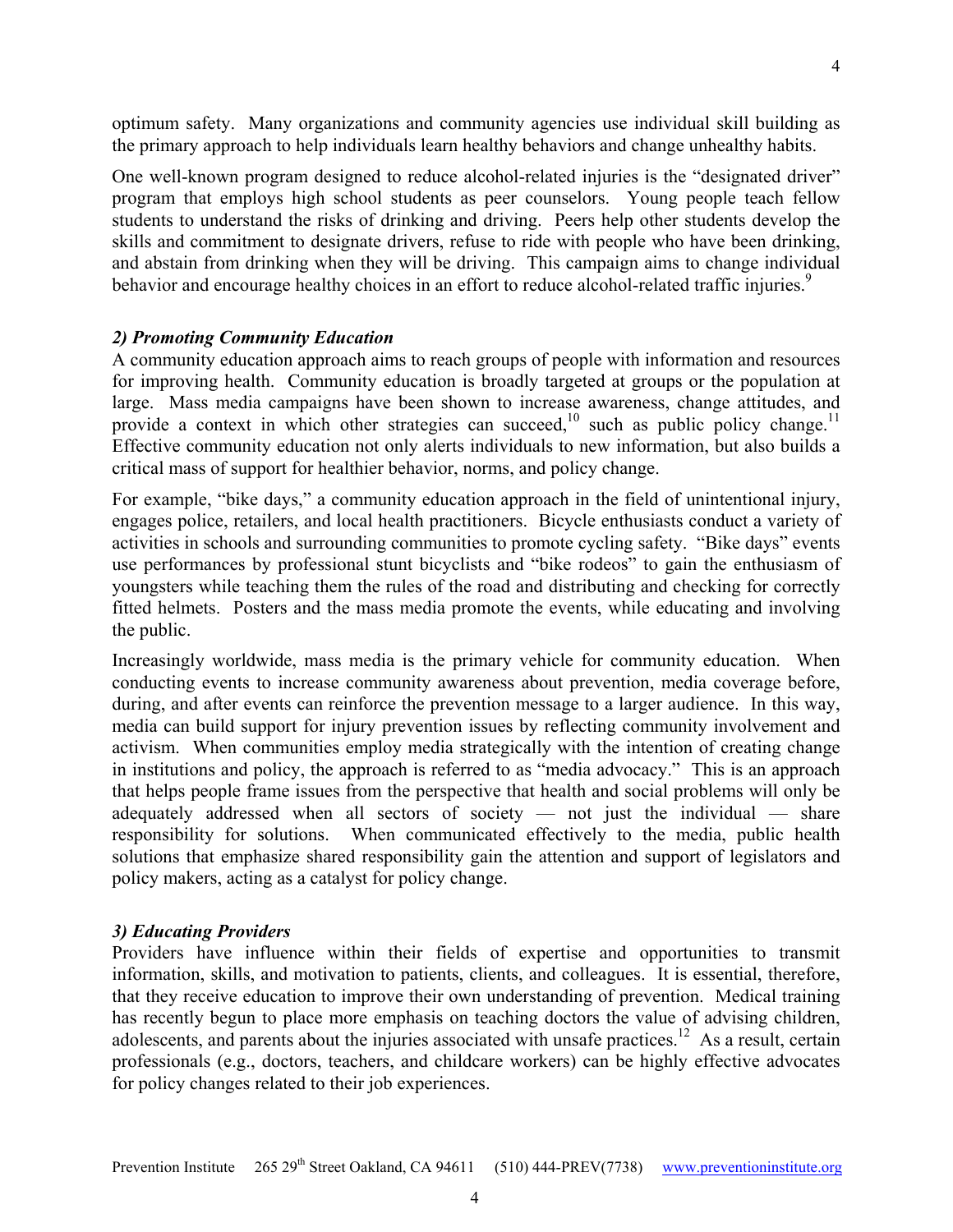optimum safety. Many organizations and community agencies use individual skill building as

One well-known program designed to reduce alcohol-related injuries is the "designated driver" program that employs high school students as peer counselors. Young people teach fellow students to understand the risks of drinking and driving. Peers help other students develop the skills and commitment to designate drivers, refuse to ride with people who have been drinking, and abstain from drinking when they will be driving. This campaign aims to change individual behavior and encourage healthy choices in an effort to reduce alcohol-related traffic injuries.<sup>9</sup>

the primary approach to help individuals learn healthy behaviors and change unhealthy habits.

## *2) Promoting Community Education*

A community education approach aims to reach groups of people with information and resources for improving health. Community education is broadly targeted at groups or the population at large. Mass media campaigns have been shown to increase awareness, change attitudes, and provide a context in which other strategies can succeed,<sup>10</sup> such as public policy change.<sup>11</sup> Effective community education not only alerts individuals to new information, but also builds a critical mass of support for healthier behavior, norms, and policy change.

For example, "bike days," a community education approach in the field of unintentional injury, engages police, retailers, and local health practitioners. Bicycle enthusiasts conduct a variety of activities in schools and surrounding communities to promote cycling safety. "Bike days" events use performances by professional stunt bicyclists and "bike rodeos" to gain the enthusiasm of youngsters while teaching them the rules of the road and distributing and checking for correctly fitted helmets. Posters and the mass media promote the events, while educating and involving the public.

Increasingly worldwide, mass media is the primary vehicle for community education. When conducting events to increase community awareness about prevention, media coverage before, during, and after events can reinforce the prevention message to a larger audience. In this way, media can build support for injury prevention issues by reflecting community involvement and activism. When communities employ media strategically with the intention of creating change in institutions and policy, the approach is referred to as "media advocacy." This is an approach that helps people frame issues from the perspective that health and social problems will only be adequately addressed when all sectors of society — not just the individual — share responsibility for solutions. When communicated effectively to the media, public health solutions that emphasize shared responsibility gain the attention and support of legislators and policy makers, acting as a catalyst for policy change.

## *3) Educating Providers*

Providers have influence within their fields of expertise and opportunities to transmit information, skills, and motivation to patients, clients, and colleagues. It is essential, therefore, that they receive education to improve their own understanding of prevention. Medical training has recently begun to place more emphasis on teaching doctors the value of advising children, adolescents, and parents about the injuries associated with unsafe practices.<sup>12</sup> As a result, certain professionals (e.g., doctors, teachers, and childcare workers) can be highly effective advocates for policy changes related to their job experiences.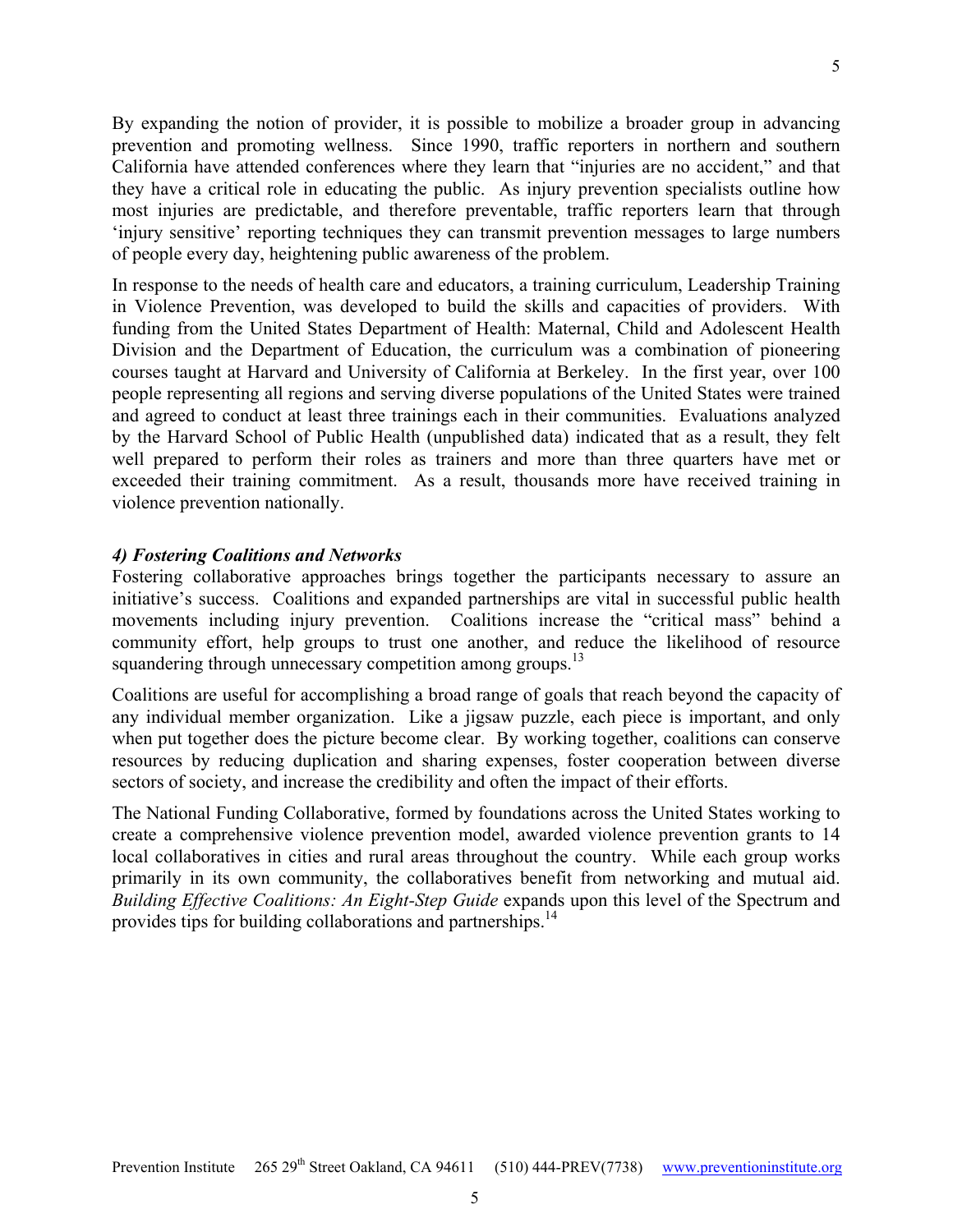By expanding the notion of provider, it is possible to mobilize a broader group in advancing prevention and promoting wellness. Since 1990, traffic reporters in northern and southern California have attended conferences where they learn that "injuries are no accident," and that they have a critical role in educating the public. As injury prevention specialists outline how most injuries are predictable, and therefore preventable, traffic reporters learn that through 'injury sensitive' reporting techniques they can transmit prevention messages to large numbers of people every day, heightening public awareness of the problem.

In response to the needs of health care and educators, a training curriculum, Leadership Training in Violence Prevention, was developed to build the skills and capacities of providers. With funding from the United States Department of Health: Maternal, Child and Adolescent Health Division and the Department of Education, the curriculum was a combination of pioneering courses taught at Harvard and University of California at Berkeley. In the first year, over 100 people representing all regions and serving diverse populations of the United States were trained and agreed to conduct at least three trainings each in their communities. Evaluations analyzed by the Harvard School of Public Health (unpublished data) indicated that as a result, they felt well prepared to perform their roles as trainers and more than three quarters have met or exceeded their training commitment. As a result, thousands more have received training in violence prevention nationally.

## *4) Fostering Coalitions and Networks*

Fostering collaborative approaches brings together the participants necessary to assure an initiative's success. Coalitions and expanded partnerships are vital in successful public health movements including injury prevention. Coalitions increase the "critical mass" behind a community effort, help groups to trust one another, and reduce the likelihood of resource squandering through unnecessary competition among groups.<sup>13</sup>

Coalitions are useful for accomplishing a broad range of goals that reach beyond the capacity of any individual member organization. Like a jigsaw puzzle, each piece is important, and only when put together does the picture become clear. By working together, coalitions can conserve resources by reducing duplication and sharing expenses, foster cooperation between diverse sectors of society, and increase the credibility and often the impact of their efforts.

The National Funding Collaborative, formed by foundations across the United States working to create a comprehensive violence prevention model, awarded violence prevention grants to 14 local collaboratives in cities and rural areas throughout the country. While each group works primarily in its own community, the collaboratives benefit from networking and mutual aid. *Building Effective Coalitions: An Eight-Step Guide* expands upon this level of the Spectrum and provides tips for building collaborations and partnerships.<sup>14</sup>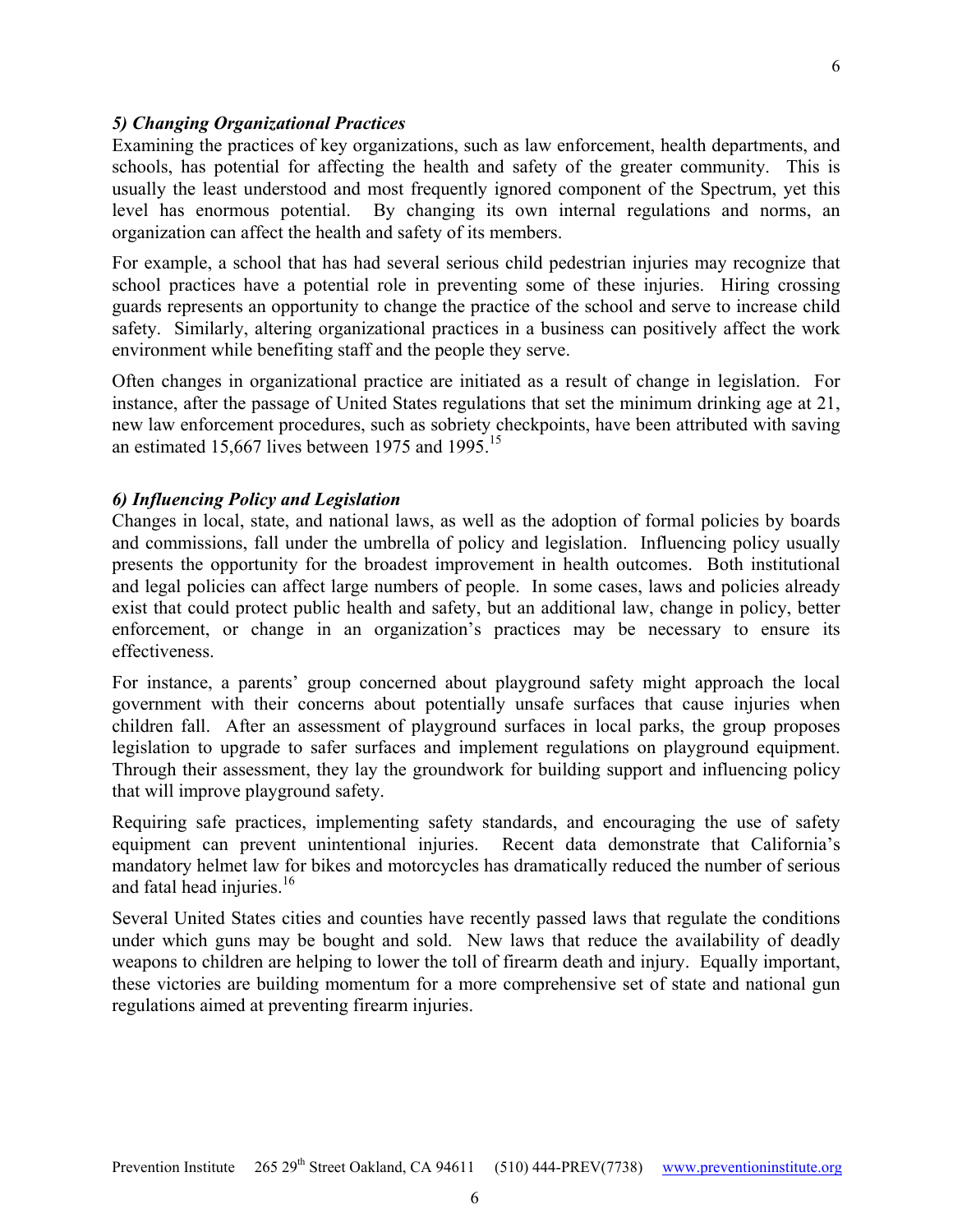Examining the practices of key organizations, such as law enforcement, health departments, and schools, has potential for affecting the health and safety of the greater community. This is usually the least understood and most frequently ignored component of the Spectrum, yet this level has enormous potential. By changing its own internal regulations and norms, an organization can affect the health and safety of its members.

6

For example, a school that has had several serious child pedestrian injuries may recognize that school practices have a potential role in preventing some of these injuries. Hiring crossing guards represents an opportunity to change the practice of the school and serve to increase child safety. Similarly, altering organizational practices in a business can positively affect the work environment while benefiting staff and the people they serve.

Often changes in organizational practice are initiated as a result of change in legislation. For instance, after the passage of United States regulations that set the minimum drinking age at 21, new law enforcement procedures, such as sobriety checkpoints, have been attributed with saving an estimated [15](#page-9-9),667 lives between 1975 and 1995.<sup>15</sup>

## *6) Influencing Policy and Legislation*

Changes in local, state, and national laws, as well as the adoption of formal policies by boards and commissions, fall under the umbrella of policy and legislation. Influencing policy usually presents the opportunity for the broadest improvement in health outcomes. Both institutional and legal policies can affect large numbers of people. In some cases, laws and policies already exist that could protect public health and safety, but an additional law, change in policy, better enforcement, or change in an organization's practices may be necessary to ensure its effectiveness.

For instance, a parents' group concerned about playground safety might approach the local government with their concerns about potentially unsafe surfaces that cause injuries when children fall. After an assessment of playground surfaces in local parks, the group proposes legislation to upgrade to safer surfaces and implement regulations on playground equipment. Through their assessment, they lay the groundwork for building support and influencing policy that will improve playground safety.

Requiring safe practices, implementing safety standards, and encouraging the use of safety equipment can prevent unintentional injuries. Recent data demonstrate that California's mandatory helmet law for bikes and motorcycles has dramatically reduced the number of serious and fatal head injuries. $16$ 

Several United States cities and counties have recently passed laws that regulate the conditions under which guns may be bought and sold. New laws that reduce the availability of deadly weapons to children are helping to lower the toll of firearm death and injury. Equally important, these victories are building momentum for a more comprehensive set of state and national gun regulations aimed at preventing firearm injuries.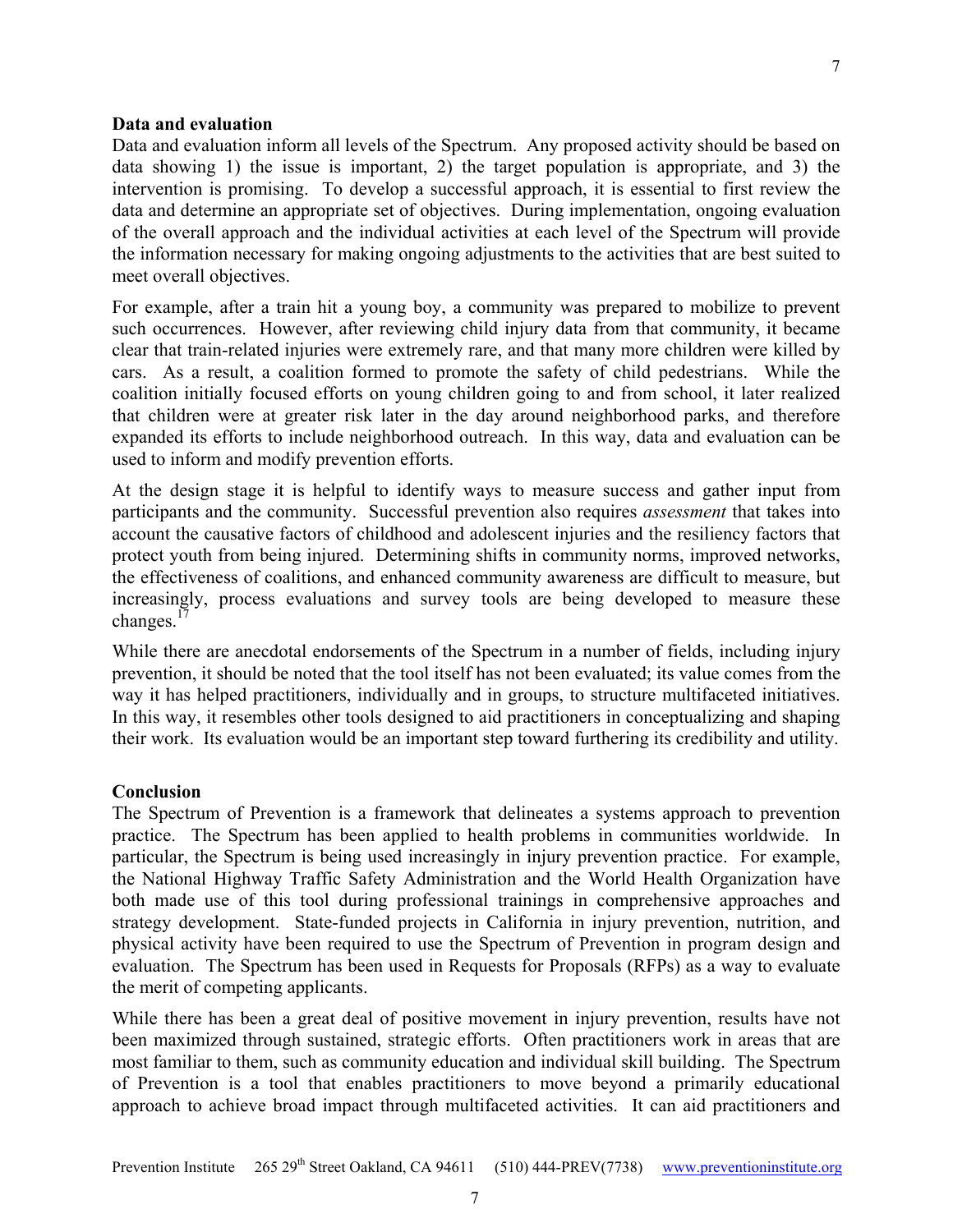## **Data and evaluation**

Data and evaluation inform all levels of the Spectrum. Any proposed activity should be based on data showing 1) the issue is important, 2) the target population is appropriate, and 3) the intervention is promising. To develop a successful approach, it is essential to first review the data and determine an appropriate set of objectives. During implementation, ongoing evaluation of the overall approach and the individual activities at each level of the Spectrum will provide the information necessary for making ongoing adjustments to the activities that are best suited to meet overall objectives.

For example, after a train hit a young boy, a community was prepared to mobilize to prevent such occurrences. However, after reviewing child injury data from that community, it became clear that train-related injuries were extremely rare, and that many more children were killed by cars. As a result, a coalition formed to promote the safety of child pedestrians. While the coalition initially focused efforts on young children going to and from school, it later realized that children were at greater risk later in the day around neighborhood parks, and therefore expanded its efforts to include neighborhood outreach. In this way, data and evaluation can be used to inform and modify prevention efforts.

At the design stage it is helpful to identify ways to measure success and gather input from participants and the community. Successful prevention also requires *assessment* that takes into account the causative factors of childhood and adolescent injuries and the resiliency factors that protect youth from being injured. Determining shifts in community norms, improved networks, the effectiveness of coalitions, and enhanced community awareness are difficult to measure, but increasingly, process evaluations and survey tools are being developed to measure these changes.<sup>17</sup>

While there are anecdotal endorsements of the Spectrum in a number of fields, including injury prevention, it should be noted that the tool itself has not been evaluated; its value comes from the way it has helped practitioners, individually and in groups, to structure multifaceted initiatives. In this way, it resembles other tools designed to aid practitioners in conceptualizing and shaping their work. Its evaluation would be an important step toward furthering its credibility and utility.

#### **Conclusion**

The Spectrum of Prevention is a framework that delineates a systems approach to prevention practice. The Spectrum has been applied to health problems in communities worldwide. In particular, the Spectrum is being used increasingly in injury prevention practice. For example, the National Highway Traffic Safety Administration and the World Health Organization have both made use of this tool during professional trainings in comprehensive approaches and strategy development. State-funded projects in California in injury prevention, nutrition, and physical activity have been required to use the Spectrum of Prevention in program design and evaluation. The Spectrum has been used in Requests for Proposals (RFPs) as a way to evaluate the merit of competing applicants.

While there has been a great deal of positive movement in injury prevention, results have not been maximized through sustained, strategic efforts. Often practitioners work in areas that are most familiar to them, such as community education and individual skill building. The Spectrum of Prevention is a tool that enables practitioners to move beyond a primarily educational approach to achieve broad impact through multifaceted activities. It can aid practitioners and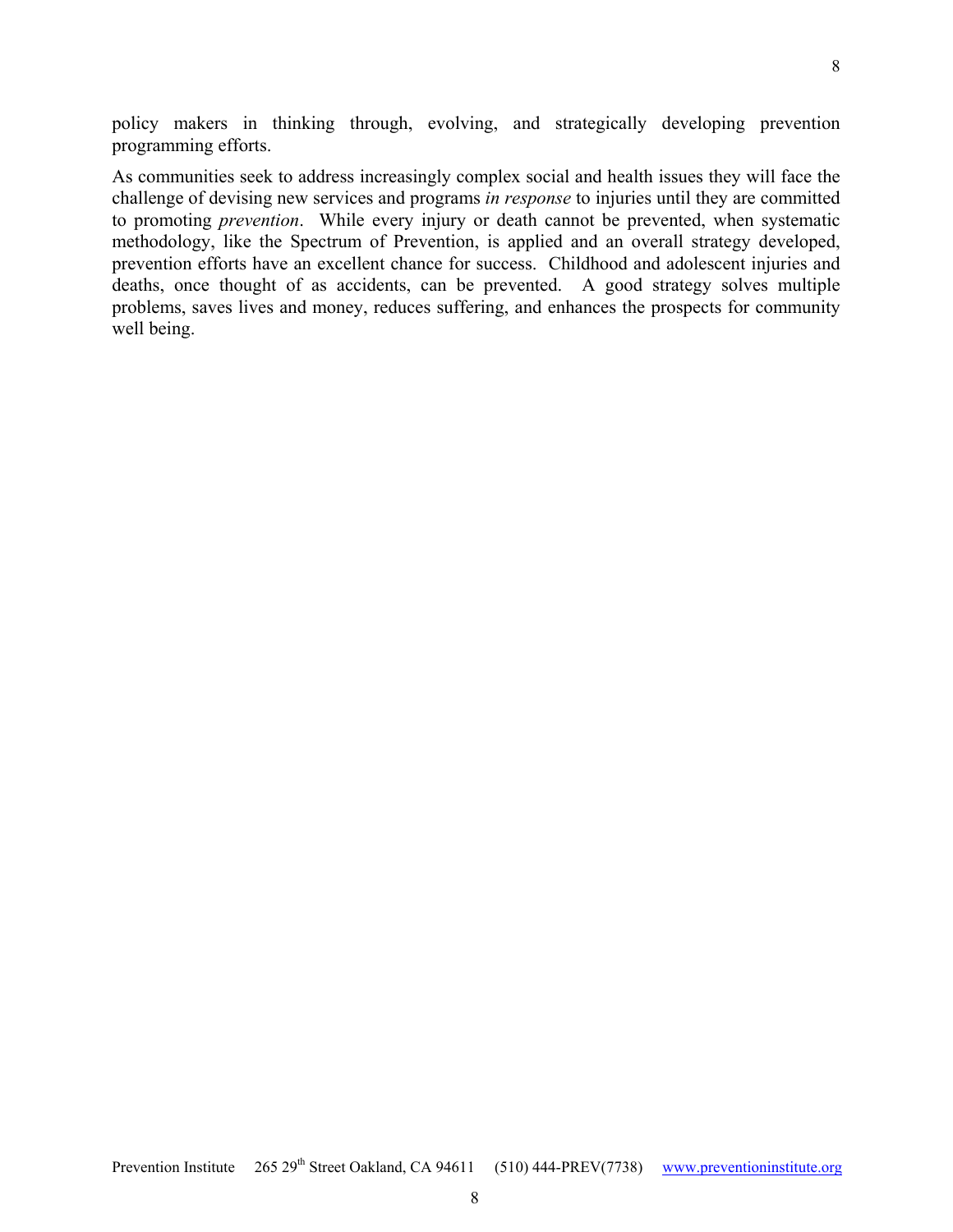policy makers in thinking through, evolving, and strategically developing prevention programming efforts.

As communities seek to address increasingly complex social and health issues they will face the challenge of devising new services and programs *in response* to injuries until they are committed to promoting *prevention*. While every injury or death cannot be prevented, when systematic methodology, like the Spectrum of Prevention, is applied and an overall strategy developed, prevention efforts have an excellent chance for success. Childhood and adolescent injuries and deaths, once thought of as accidents, can be prevented. A good strategy solves multiple problems, saves lives and money, reduces suffering, and enhances the prospects for community well being.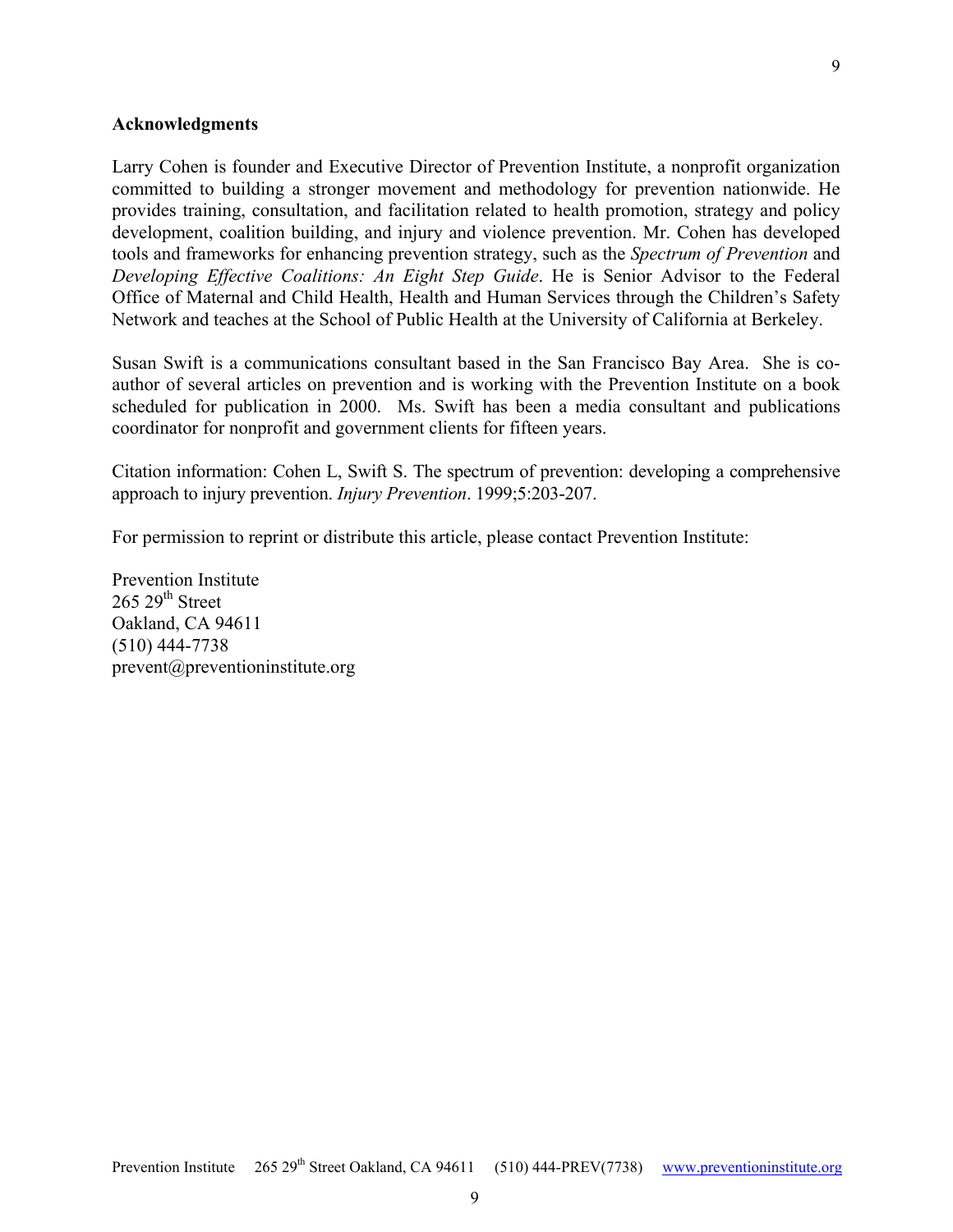#### **Acknowledgments**

Larry Cohen is founder and Executive Director of Prevention Institute, a nonprofit organization committed to building a stronger movement and methodology for prevention nationwide. He provides training, consultation, and facilitation related to health promotion, strategy and policy development, coalition building, and injury and violence prevention. Mr. Cohen has developed tools and frameworks for enhancing prevention strategy, such as the *Spectrum of Prevention* and *Developing Effective Coalitions: An Eight Step Guide*. He is Senior Advisor to the Federal Office of Maternal and Child Health, Health and Human Services through the Children's Safety Network and teaches at the School of Public Health at the University of California at Berkeley.

Susan Swift is a communications consultant based in the San Francisco Bay Area. She is coauthor of several articles on prevention and is working with the Prevention Institute on a book scheduled for publication in 2000. Ms. Swift has been a media consultant and publications coordinator for nonprofit and government clients for fifteen years.

Citation information: Cohen L, Swift S. The spectrum of prevention: developing a comprehensive approach to injury prevention. *Injury Prevention*. 1999;5:203-207.

For permission to reprint or distribute this article, please contact Prevention Institute:

Prevention Institute  $265$   $29^{th}$  Street Oakland, CA 94611 (510) 444-7738 prevent@preventioninstitute.org